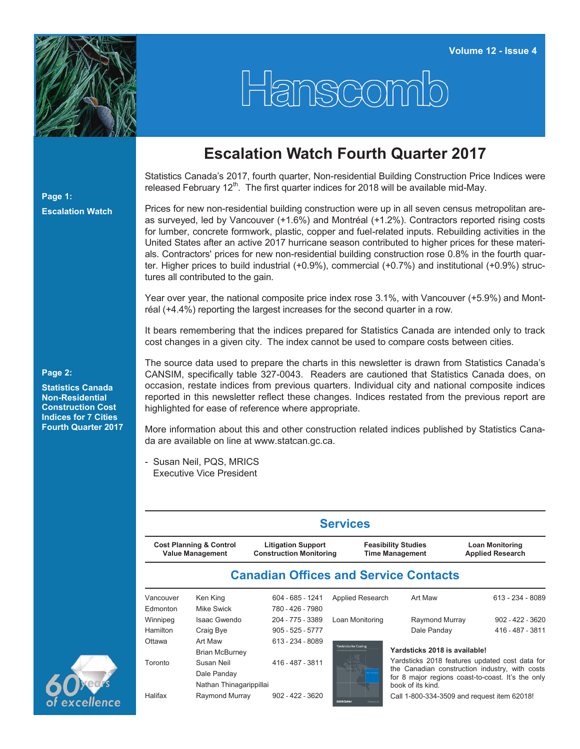

## Hanscomb

## **Escalation Watch Fourth Quarter 2017**

Statistics Canada's 2017, fourth quarter, Non-residential Building Construction Price Indices were released February  $12<sup>th</sup>$ . The first quarter indices for 2018 will be available mid-May.

Prices for new non-residential building construction were up in all seven census metropolitan areas surveyed, led by Vancouver (+1.6%) and Montréal (+1.2%). Contractors reported rising costs for lumber, concrete formwork, plastic, copper and fuel-related inputs. Rebuilding activities in the United States after an active 2017 hurricane season contributed to higher prices for these materials. Contractors' prices for new non-residential building construction rose 0.8% in the fourth quarter. Higher prices to build industrial (+0.9%), commercial (+0.7%) and institutional (+0.9%) structures all contributed to the gain.

Year over year, the national composite price index rose 3.1%, with Vancouver (+5.9%) and Montréal (+4.4%) reporting the largest increases for the second quarter in a row.

It bears remembering that the indices prepared for Statistics Canada are intended only to track cost changes in a given city. The index cannot be used to compare costs between cities.

The source data used to prepare the charts in this newsletter is drawn from Statistics Canada's CANSIM, specifically table 327-0043. Readers are cautioned that Statistics Canada does, on occasion, restate indices from previous quarters. Individual city and national composite indices reported in this newsletter reflect these changes. Indices restated from the previous report are highlighted for ease of reference where appropriate.

More information about this and other construction related indices published by Statistics Canada are available on line at [www.statcan.gc.ca.](http://www.statcan.gc.ca)

- Susan Neil, PQS, MRICS Executive Vice President

| <b>Cost Planning &amp; Control</b><br><b>Value Management</b> |                                  | <b>Litigation Support</b><br><b>Construction Monitoring</b> |                        | <b>Feasibility Studies</b><br><b>Time Management</b> | <b>Loan Monitoring</b><br><b>Applied Research</b> |
|---------------------------------------------------------------|----------------------------------|-------------------------------------------------------------|------------------------|------------------------------------------------------|---------------------------------------------------|
|                                                               |                                  |                                                             |                        | <b>Canadian Offices and Service Contacts</b>         |                                                   |
| Vancouver                                                     | Ken King                         | 604 - 685 - 1241                                            | Applied Research       | Art Maw                                              | 613 - 234 - 8089                                  |
| Edmonton                                                      | Mike Swick                       | 780 - 426 - 7980                                            |                        |                                                      |                                                   |
| Winnipeg                                                      | Isaac Gwendo                     | 204 - 775 - 3389                                            | Loan Monitoring        | Raymond Murray                                       | $902 - 422 - 3620$                                |
| Hamilton                                                      | Craig Bye                        | $905 - 525 - 5777$                                          |                        | Dale Panday                                          | 416 - 487 - 3811                                  |
| Ottawa                                                        | Art Maw<br><b>Brian McBurney</b> | 613 - 234 - 8089                                            | rardsticks for Costing | Yardsticks 2018 is available!                        |                                                   |
| Toronto                                                       | Susan Neil                       | 416 - 487 - 3811                                            |                        |                                                      | Yardsticks 2018 features updated cost data for    |
|                                                               | Dale Panday                      |                                                             |                        |                                                      | the Canadian construction industry, with costs    |
|                                                               | Nathan Thinagarippillai          |                                                             |                        | book of its kind.                                    | for 8 major regions coast-to-coast. It's the only |
| Halifax                                                       | Raymond Murray                   | $902 - 422 - 3620$                                          |                        | Call 1-800-334-3509 and request item 62018!          |                                                   |

## **Page 2:**

**Page 1:**

**Escalation Watch**

**Statistics Canada Non-Residential Construction Cost Indices for 7 Cities Fourth Quarter 2017**



Call 1-800-334-3509 and request item 62018!